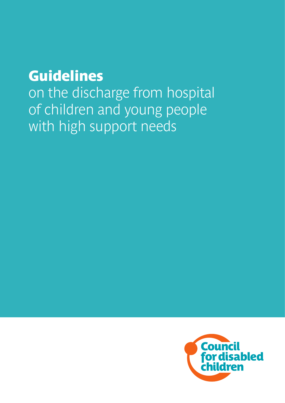### Guidelines

**on the discharge from hospital of children and young people with high support needs**

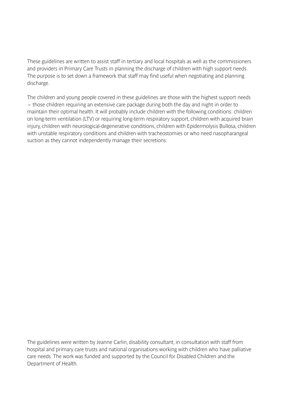**These guidelines are written to assist staff in tertiary and local hospitals as well as the commissioners and providers in Primary Care Trusts in planning the discharge of children with high support needs. The purpose is to set down a framework that staff may find useful when negotiating and planning discharge.**

**The children and young people covered in these guidelines are those with the highest support needs – those children requiring an extensive care package during both the day and night in order to maintain their optimal health. It will probably include children with the following conditions: children on long-term ventilation (LTV) or requiring long-term respiratory support, children with acquired brain injury, children with neurological-degenerative conditions, children with Epidermolysis Bullosa, children with unstable respiratory conditions and children with tracheostomies or who need nasopharangeal suction as they cannot independently manage their secretions.**

**The guidelines were written by Jeanne Carlin, disability consultant, in consultation with staff from hospital and primary care trusts and national organisations working with children who have palliative care needs. The work was funded and supported by the Council for Disabled Children and the Department of Health.**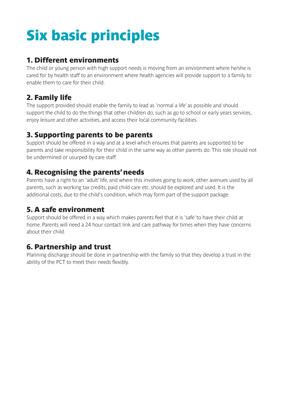# Six basic principles

#### 1. Different environments

**The child or young person with high support needs is moving from an environment where he/she is cared for by health staff to an environment where health agencies will provide support to a family to enable them to care for their child.**

#### 2. Family life

**The support provided should enable the family to lead as 'normal a life' as possible and should support the child to do the things that other children do, such as go to school or early years services, enjoy leisure and other activities, and access their local community facilities.**

#### 3. Supporting parents to be parents

**Support should be offered in a way and at a level which ensures that parents are supported to be parents and take responsibility for their child in the same way as other parents do. This role should not be undermined or usurped by care staff.**

#### 4. Recognising the parents' needs

**Parents have a right to an 'adult' life, and where this involves going to work, other avenues used by all parents, such as working tax credits, paid child care etc. should be explored and used. It is the additional costs, due to the child's condition, which may form part of the support package.** 

#### 5. A safe environment

**Support should be offered in a way which makes parents feel that it is 'safe' to have their child at home. Parents will need a 24 hour contact link and care pathway for times when they have concerns about their child.** 

#### 6. Partnership and trust

**Planning discharge should be done in partnership with the family so that they develop a trust in the ability of the PCT to meet their needs flexibly.**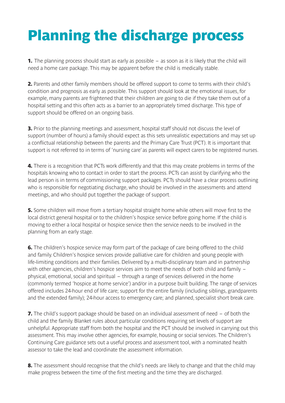## Planning the discharge process

1. **The planning process should start as early as possible – as soon as it is likely that the child will need a home care package. This may be apparent before the child is medically stable.**

2. **Parents and other family members should be offered support to come to terms with their child's condition and prognosis as early as possible. This support should look at the emotional issues, for example, many parents are frightened that their children are going to die if they take them out of a hospital setting and this often acts as a barrier to an appropriately timed discharge. This type of support should be offered on an ongoing basis.**

3. **Prior to the planning meetings and assessment, hospital staff should not discuss the level of support (number of hours) a family should expect as this sets unrealistic expectations and may set up a conflictual relationship between the parents and the Primary Care Trust (PCT). It is important that support is not referred to in terms of 'nursing care' as parents will expect carers to be registered nurses.**

4. **There is a recognition that PCTs work differently and that this may create problems in terms of the hospitals knowing who to contact in order to start the process. PCTs can assist by clarifying who the lead person is in terms of commissioning support packages. PCTs should have a clear process outlining who is responsible for negotiating discharge, who should be involved in the assessments and attend meetings, and who should put together the package of support.**

**5.** Some children will move from a tertiary hospital straight home while others will move first to the **local district general hospital or to the children's hospice service before going home. If the child is moving to either a local hospital or hospice service then the service needs to be involved in the planning from an early stage.**

6. **The children's hospice service may form part of the package of care being offered to the child and family. Children's hospice services provide palliative care for children and young people with life-limiting conditions and their families. Delivered by a multi-disciplinary team and in partnership with other agencies, children's hospice services aim to meet the needs of both child and family – physical, emotional, social and spiritual – through a range of services delivered in the home (commonly termed 'hospice at home service') and/or in a purpose built building. The range of services offered includes 24-hour end of life care; support for the entire family (including siblings, grandparents and the extended family); 24-hour access to emergency care; and planned, specialist short break care.**

7. **The child's support package should be based on an individual assessment of need – of both the child and the family. Blanket rules about particular conditions requiring set levels of support are unhelpful. Appropriate staff from both the hospital and the PCT should be involved in carrying out this assessment. This may involve other agencies, for example, housing or social services. The Children's Continuing Care guidance sets out a useful process and assessment tool, with a nominated health assessor to take the lead and coordinate the assessment information.**

8. **The assessment should recognise that the child's needs are likely to change and that the child may make progress between the time of the first meeting and the time they are discharged.**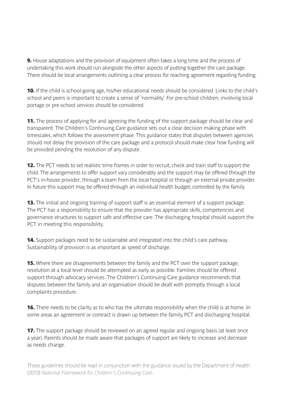9. **House adaptations and the provision of equipment often takes a long time and the process of undertaking this work should run alongside the other aspects of putting together the care package. There should be local arrangements outlining a clear process for reaching agreement regarding funding.**

10. **If the child is school-going age, his/her educational needs should be considered. Links to the child's school and peers is important to create a sense of 'normality'. For pre-school children, involving local portage or pre-school services should be considered.**

11. **The process of applying for and agreeing the funding of the support package should be clear and transparent. The Children's Continuing Care guidance sets out a clear decision making phase with timescales, which follows the assessment phase. This guidance states that disputes between agencies should not delay the provision of the care package and a protocol should make clear how funding will be provided pending the resolution of any dispute.**

12. **The PCT needs to set realistic time frames in order to recruit, check and train staff to support the child. The arrangements to offer support vary considerably and the support may be offered through the PCT's in-house provider; through a team from the local hospital or through an external private provider. In future this support may be offered through an individual health budget, controlled by the family.**

13. **The initial and ongoing training of support staff is an essential element of a support package. The PCT has a responsibility to ensure that the provider has appropriate skills, competencies and governance structures to support safe and effective care. The discharging hospital should support the PCT in meeting this responsibility.**

14. **Support packages need to be sustainable and integrated into the child's care pathway. Sustainability of provision is as important as speed of discharge.**

15. **Where there are disagreements between the family and the PCT over the support package, resolution at a local level should be attempted as early as possible. Families should be offered support through advocacy services. The Children's Continuing Care guidance recommends that disputes between the family and an organisation should be dealt with promptly through a local complaints procedure.**

16. **There needs to be clarity as to who has the ultimate responsibility when the child is at home. In some areas an agreement or contract is drawn up between the family, PCT and discharging hospital.**

17. **The support package should be reviewed on an agreed regular and ongoing basis (at least once a year). Parents should be made aware that packages of support are likely to increase and decrease as needs change.**

These guidelines should be read in conjunction with the guidance issued by the Department of Health (2010) *National Framework for Children's Continuing Care*.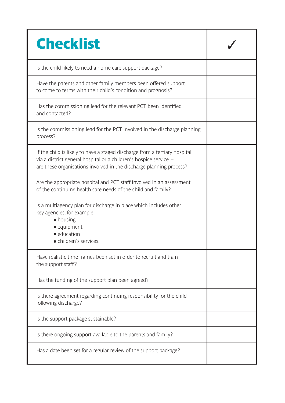| <b>Checklist</b>                                                                                                                                                                                                       |  |
|------------------------------------------------------------------------------------------------------------------------------------------------------------------------------------------------------------------------|--|
| Is the child likely to need a home care support package?                                                                                                                                                               |  |
| Have the parents and other family members been offered support<br>to come to terms with their child's condition and prognosis?                                                                                         |  |
| Has the commissioning lead for the relevant PCT been identified<br>and contacted?                                                                                                                                      |  |
| Is the commissioning lead for the PCT involved in the discharge planning<br>process?                                                                                                                                   |  |
| If the child is likely to have a staged discharge from a tertiary hospital<br>via a district general hospital or a children's hospice service -<br>are these organisations involved in the discharge planning process? |  |
| Are the appropriate hospital and PCT staff involved in an assessment<br>of the continuing health care needs of the child and family?                                                                                   |  |
| Is a multiagency plan for discharge in place which includes other<br>key agencies, for example:<br>$\bullet$ housing<br>• equipment<br>· education<br>• children's services.                                           |  |
| Have realistic time frames been set in order to recruit and train<br>the support staff?                                                                                                                                |  |
| Has the funding of the support plan been agreed?                                                                                                                                                                       |  |
| Is there agreement regarding continuing responsibility for the child<br>following discharge?                                                                                                                           |  |
| Is the support package sustainable?                                                                                                                                                                                    |  |
| Is there ongoing support available to the parents and family?                                                                                                                                                          |  |
| Has a date been set for a regular review of the support package?                                                                                                                                                       |  |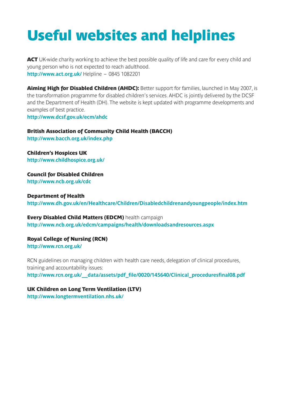### Useful websites and helplines

ACT **UK-wide charity working to achieve the best possible quality of life and care for every child and young person who is not expected to reach adulthood. <http://www.act.org.uk/> Helpline – 0845 1082201**

Aiming High for Disabled Children (AHDC): **Better support for families, launched in May 2007, is the transformation programme for disabled children's services. AHDC is jointly delivered by the DCSF and the Department of Health (DH). The website is kept updated with programme developments and examples of best practice.**

**<http://www.dcsf.gov.uk/ecm/ahdc>**

British Association of Community Child Health (BACCH) **<http://www.bacch.org.uk/index.php>**

Children's Hospices UK **<http://www.childhospice.org.uk/>**

Council for Disabled Children **<http://www.ncb.org.uk/cdc>**

Department of Health **[http://www.dh.gov.uk/en/Healthcare/Children/D](http://www.dh.gov.uk/en/Healthcare/Children/index.htm)isabledchildrenandyoungpeople/index.htm**

Every Disabled Child Matters (EDCM) **health campaign [http://www.ncb.org.uk/edcm/campaigns/health/downloadsandresources.aspx](http://www.ncb.org.uk/edcm/campaigns/health/downloads_and_resources.aspx)**

Royal College of Nursing (RCN)

**<http://www.rcn.org.uk/>**

**RCN guidelines on managing children with health care needs, delegation of clinical procedures, training and accountability issues: [http://www.rcn.org.uk/\\_\\_data/assets/pdf\\_file/0020/145640/Clinical\\_proceduresfinal08.pdf](http://www.rcn.org.uk/__data/assets/pdf_file/0020/145640/Clinical_proceduresfinal08.pdf )**

UK Children on Long Term Ventilation (LTV)

**<http://www.longtermventilation.nhs.uk/>**